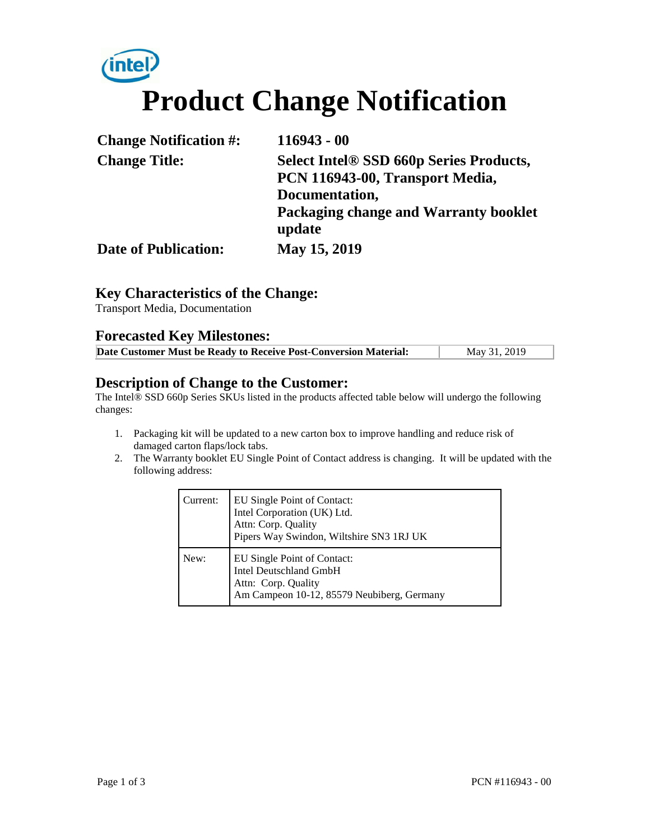# **intel Product Change Notification**

| <b>Change Notification #:</b> | $116943 - 00$                                                                     |  |
|-------------------------------|-----------------------------------------------------------------------------------|--|
| <b>Change Title:</b>          | <b>Select Intel® SSD 660p Series Products,</b><br>PCN 116943-00, Transport Media, |  |
|                               | Documentation,                                                                    |  |
|                               | Packaging change and Warranty booklet<br>update                                   |  |
| <b>Date of Publication:</b>   | May 15, 2019                                                                      |  |

# **Key Characteristics of the Change:**

Transport Media, Documentation

### **Forecasted Key Milestones:**

| May 31, 2019<br>Date Customer Must be Ready to Receive Post-Conversion Material: |
|----------------------------------------------------------------------------------|
|----------------------------------------------------------------------------------|

#### **Description of Change to the Customer:**

The Intel® SSD 660p Series SKUs listed in the products affected table below will undergo the following changes:

- 1. Packaging kit will be updated to a new carton box to improve handling and reduce risk of damaged carton flaps/lock tabs.
- 2. The Warranty booklet EU Single Point of Contact address is changing. It will be updated with the following address:

| Current: | EU Single Point of Contact:<br>Intel Corporation (UK) Ltd.<br>Attn: Corp. Quality<br>Pipers Way Swindon, Wiltshire SN3 1RJ UK |
|----------|-------------------------------------------------------------------------------------------------------------------------------|
| New:     | EU Single Point of Contact:<br>Intel Deutschland GmbH<br>Attn: Corp. Quality<br>Am Campeon 10-12, 85579 Neubiberg, Germany    |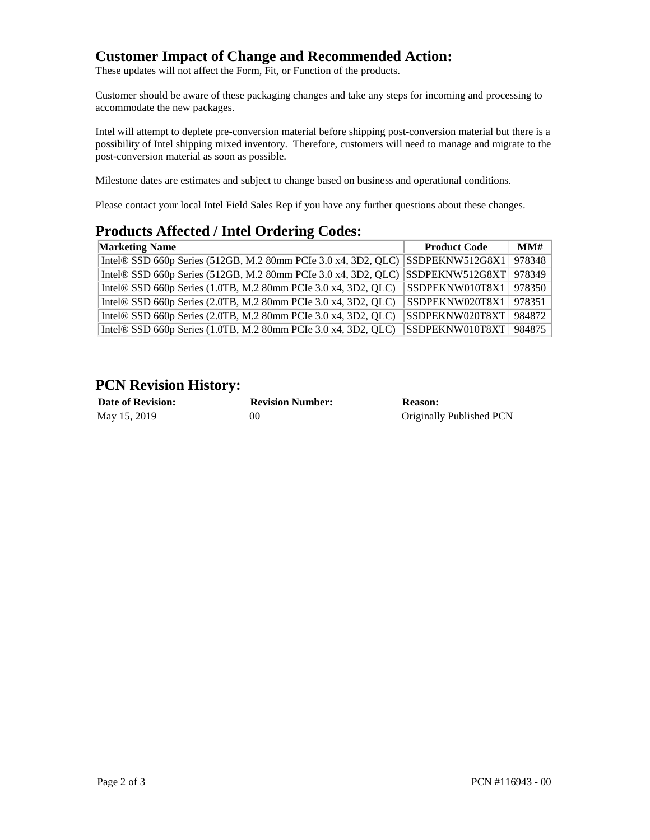# **Customer Impact of Change and Recommended Action:**

These updates will not affect the Form, Fit, or Function of the products.

Customer should be aware of these packaging changes and take any steps for incoming and processing to accommodate the new packages.

Intel will attempt to deplete pre-conversion material before shipping post-conversion material but there is a possibility of Intel shipping mixed inventory. Therefore, customers will need to manage and migrate to the post-conversion material as soon as possible.

Milestone dates are estimates and subject to change based on business and operational conditions.

Please contact your local Intel Field Sales Rep if you have any further questions about these changes.

## **Products Affected / Intel Ordering Codes:**

| <b>Marketing Name</b>                                                                         | <b>Product Code</b>      | MMH    |
|-----------------------------------------------------------------------------------------------|--------------------------|--------|
| Intel® SSD 660p Series (512GB, M.2 80mm PCIe 3.0 x4, 3D2, QLC) $ $ SSDPEKNW512G8X1            |                          | 978348 |
| Intel® SSD 660p Series (512GB, M.2 80mm PCIe 3.0 x4, 3D2, QLC) SSDPEKNW512G8XT $\vert$ 978349 |                          |        |
| Intel® SSD 660p Series (1.0TB, M.2 80mm PCIe 3.0 x4, 3D2, QLC)                                | SSDPEKNW010T8X1   978350 |        |
| Intel® SSD 660p Series (2.0TB, M.2 80mm PCIe 3.0 x4, 3D2, QLC)                                | SSDPEKNW020T8X1   978351 |        |
| Intel $\otimes$ SSD 660p Series (2.0TB, M.2 80mm PCIe 3.0 x4, 3D2, QLC)                       | SSDPEKNW020T8XT          | 984872 |
| Intel® SSD 660p Series (1.0TB, M.2 80mm PCIe 3.0 x4, 3D2, QLC)                                | SSDPEKNW010T8XT          | 984875 |

# **PCN Revision History:**

| <b>Date of Revision:</b> | <b>Revision Number:</b> | <b>Reason:</b>           |
|--------------------------|-------------------------|--------------------------|
| May 15, 2019             | 90                      | Originally Published PCN |